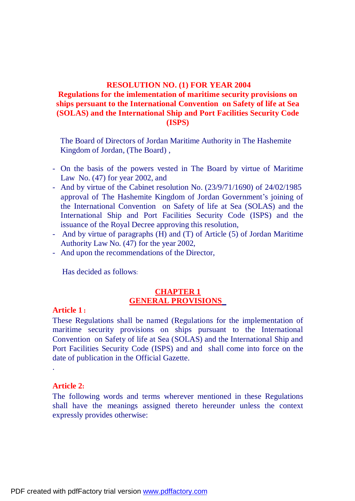# **RESOLUTION NO. (1) FOR YEAR 2004 Regulations for the imlementation of maritime security provisions on ships persuant to the International Convention on Safety of life at Sea (SOLAS) and the International Ship and Port Facilities Security Code (ISPS)**

 The Board of Directors of Jordan Maritime Authority in The Hashemite Kingdom of Jordan, (The Board) ,

- On the basis of the powers vested in The Board by virtue of Maritime Law No. (47) for year 2002, and
- And by virtue of the Cabinet resolution No. (23/9/71/1690) of 24/02/1985 approval of The Hashemite Kingdom of Jordan Government's joining of the International Convention on Safety of life at Sea (SOLAS) and the International Ship and Port Facilities Security Code (ISPS) and the issuance of the Royal Decree approving this resolution,
- And by virtue of paragraphs (H) and (T) of Article (5) of Jordan Maritime Authority Law No. (47) for the year 2002,
- And upon the recommendations of the Director,

Has decided as follows:

## **CHAPTER 1 GENERAL PROVISIONS**

#### **Article 1 :**

These Regulations shall be named (Regulations for the implementation of maritime security provisions on ships pursuant to the International Convention on Safety of life at Sea (SOLAS) and the International Ship and Port Facilities Security Code (ISPS) and and shall come into force on the date of publication in the Official Gazette.

## **Article 2:**

.

The following words and terms wherever mentioned in these Regulations shall have the meanings assigned thereto hereunder unless the context expressly provides otherwise: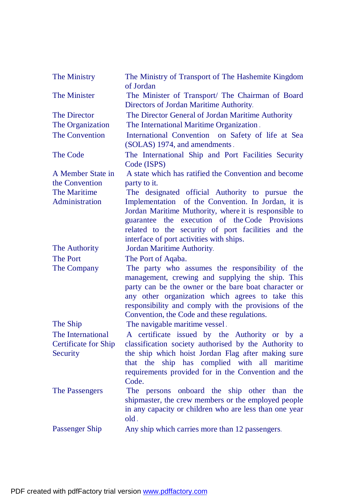| The Ministry                | The Ministry of Transport of The Hashemite Kingdom<br>of Jordan                   |
|-----------------------------|-----------------------------------------------------------------------------------|
| The Minister                | The Minister of Transport/ The Chairman of Board                                  |
|                             | Directors of Jordan Maritime Authority.                                           |
| <b>The Director</b>         | The Director General of Jordan Maritime Authority                                 |
| The Organization            | The International Maritime Organization                                           |
| The Convention              | International Convention on Safety of life at Sea<br>(SOLAS) 1974, and amendments |
| <b>The Code</b>             | The International Ship and Port Facilities Security<br>Code (ISPS)                |
| A Member State in           | A state which has ratified the Convention and become                              |
| the Convention              | party to it.                                                                      |
| <b>The Maritime</b>         | The designated official Authority to pursue the                                   |
| Administration              | Implementation of the Convention. In Jordan, it is                                |
|                             | Jordan Maritime Muthority, where it is responsible to                             |
|                             | guarantee the execution of the Code Provisions                                    |
|                             | related to the security of port facilities and the                                |
| The Authority               | interface of port activities with ships.<br>Jordan Maritime Authority             |
| <b>The Port</b>             |                                                                                   |
| The Company                 | The Port of Aqaba.<br>The party who assumes the responsibility of the             |
|                             | management, crewing and supplying the ship. This                                  |
|                             | party can be the owner or the bare boat character or                              |
|                             | any other organization which agrees to take this                                  |
|                             | responsibility and comply with the provisions of the                              |
|                             | Convention, the Code and these regulations.                                       |
| The Ship                    | The navigable maritime vessel.                                                    |
| The International           | A certificate issued by the Authority or by a                                     |
| <b>Certificate for Ship</b> | classification society authorised by the Authority to                             |
| Security                    | the ship which hoist Jordan Flag after making sure                                |
|                             | that the ship has complied with all maritime                                      |
|                             | requirements provided for in the Convention and the                               |
|                             | Code.                                                                             |
| The Passengers              | The persons onboard the ship other than the                                       |
|                             | shipmaster, the crew members or the employed people                               |
|                             | in any capacity or children who are less than one year<br>$old$ .                 |
| <b>Passenger Ship</b>       | Any ship which carries more than 12 passengers.                                   |
|                             |                                                                                   |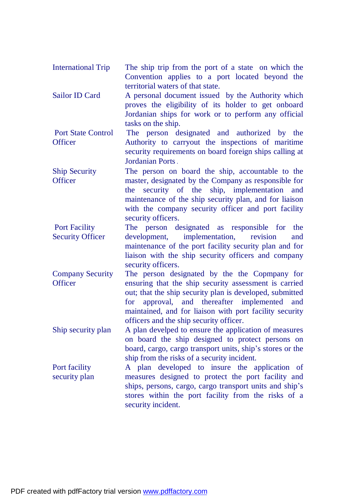| International Trip | The ship trip from the port of a state on which the |  |  |  |  |  |  |  |
|--------------------|-----------------------------------------------------|--|--|--|--|--|--|--|
|                    | Convention applies to a port located beyond the     |  |  |  |  |  |  |  |
|                    | territorial waters of that state.                   |  |  |  |  |  |  |  |

Sailor ID Card A personal document issued by the Authority which proves the eligibility of its holder to get onboard Jordanian ships for work or to perform any official tasks on the ship.

Port State Control **Officer** The person designated and authorized by the Authority to carryout the inspections of maritime security requirements on board foreign ships calling at Jordanian Ports .

Ship Security **Officer** The person on board the ship, accountable to the master, designated by the Company as responsible for the security of the ship, implementation and maintenance of the ship security plan, and for liaison with the company security officer and port facility security officers.

Port Facility Security Officer The person designated as responsible for the development, implementation, revision and maintenance of the port facility security plan and for liaison with the ship security officers and company security officers.

Company Security **Officer** The person designated by the the Copmpany for ensuring that the ship security assessment is carried out; that the ship security plan is developed, submitted for approval, and thereafter implemented and maintained, and for liaison with port facility security officers and the ship security officer.

Ship security plan A plan develped to ensure the application of measures on board the ship designed to protect persons on board, cargo, cargo transport units, ship's stores or the ship from the risks of a security incident.

Port facility security plan A plan developed to insure the application of measures designed to protect the port facility and ships, persons, cargo, cargo transport units and ship's stores within the port facility from the risks of a security incident.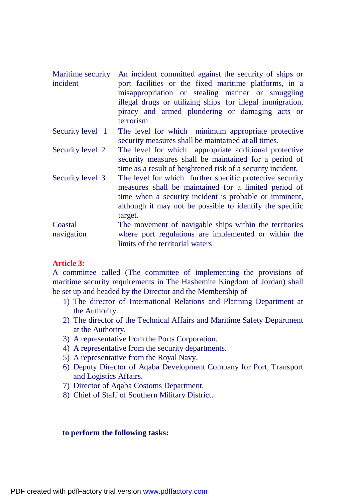Maritime security incident An incident committed against the security of ships or port facilities or the fixed maritime platforms, in a misappropriation or stealing manner or smuggling illegal drugs or utilizing ships for illegal immigration, piracy and armed plundering or damaging acts or terrorism .

- Security level 1 The level for which minimum appropriate protective security measures shall be maintained at all times.
- Security level 2 The level for which appropriate additional protective security measures shall be maintained for a period of time as a result of heightened risk of a security incident.
- Security level 3 The level for which further specific protective security measures shall be maintained for a limited period of time when a security incident is probable or imminent, although it may not be possible to identify the specific target.

Coastal navigation The movement of navigable ships within the territories where port regulations are implemented or within the limits of the territorial waters .

# **Article 3:**

A committee called (The committee of implementing the provisions of maritime security requirements in The Hashemite Kingdom of Jordan) shall be set up and headed by the Director and the Membership of:

- 1) The director of International Relations and Planning Department at the Authority.
- 2) The director of the Technical Affairs and Maritime Safety Department at the Authority.
- 3) A representative from the Ports Corporation.
- 4) A representative from the security departments.
- 5) A representative from the Royal Navy.
- 6) Deputy Director of Aqaba Development Company for Port, Transport and Logistics Affairs.
- 7) Director of Aqaba Costoms Department.
- 8) Chief of Staff of Southern Military District.

## **to perform the following tasks:**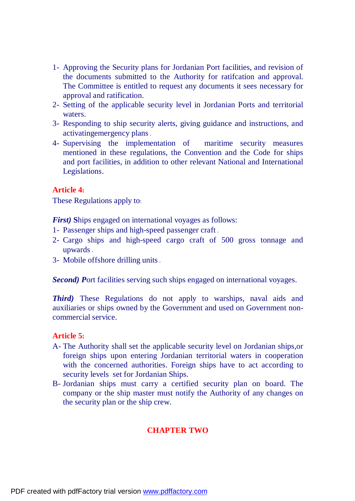- 1- Approving the Security plans for Jordanian Port facilities, and revision of the documents submitted to the Authority for ratifcation and approval. The Committee is entitled to request any documents it sees necessary for approval and ratification.
- 2- Setting of the applicable security level in Jordanian Ports and territorial waters.
- 3- Responding to ship security alerts, giving guidance and instructions, and activatingemergency plans .
- 4- Supervising the implementation of maritime security measures mentioned in these regulations, the Convention and the Code for ships and port facilities, in addition to other relevant National and International Legislations.

# **Article 4:**

These Regulations apply to:

*First)* **S**hips engaged on international voyages as follows:

- 1- Passenger ships and high-speed passenger craft .
- 2- Cargo ships and high-speed cargo craft of 500 gross tonnage and upwards .
- 3- Mobile offshore drilling units .

*Second)* Port facilities serving such ships engaged on international voyages.

*Third*) These Regulations do not apply to warships, naval aids and auxiliaries or ships owned by the Government and used on Government noncommercial service.

# **Article 5:**

- A- The Authority shall set the applicable security level on Jordanian ships,or foreign ships upon entering Jordanian territorial waters in cooperation with the concerned authorities. Foreign ships have to act according to security levels set for Jordanian Ships.
- B- Jordanian ships must carry a certified security plan on board. The company or the ship master must notify the Authority of any changes on the security plan or the ship crew.

# **CHAPTER TWO**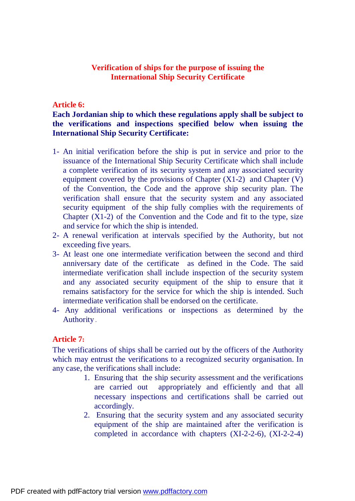## **Verification of ships for the purpose of issuing the International Ship Security Certificate**

## **Article 6:**

# **Each Jordanian ship to which these regulations apply shall be subject to the verifications and inspections specified below when issuing the International Ship Security Certificate:**

- 1- An initial verification before the ship is put in service and prior to the issuance of the International Ship Security Certificate which shall include a complete verification of its security system and any associated security equipment covered by the provisions of Chapter  $(X1-2)$  and Chapter  $(V)$ of the Convention, the Code and the approve ship security plan. The verification shall ensure that the security system and any associated security equipment of the ship fully complies with the requirements of Chapter  $(X1-2)$  of the Convention and the Code and fit to the type, size and service for which the ship is intended.
- 2- A renewal verification at intervals specified by the Authority, but not exceeding five years.
- 3- At least one one intermediate verification between the second and third anniversary date of the certificate as defined in the Code. The said intermediate verification shall include inspection of the security system and any associated security equipment of the ship to ensure that it remains satisfactory for the service for which the ship is intended. Such intermediate verification shall be endorsed on the certificate.
- 4- Any additional verifications or inspections as determined by the Authority .

## **Article 7:**

The verifications of ships shall be carried out by the officers of the Authority which may entrust the verifications to a recognized security organisation. In any case, the verifications shall include:

- 1. Ensuring that the ship security assessment and the verifications are carried out appropriately and efficiently and that all necessary inspections and certifications shall be carried out accordingly.
- 2. Ensuring that the security system and any associated security equipment of the ship are maintained after the verification is completed in accordance with chapters (XI-2-2-6), (XI-2-2-4)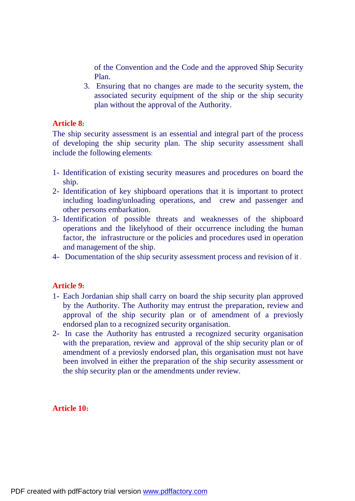of the Convention and the Code and the approved Ship Security Plan.

3. Ensuring that no changes are made to the security system, the associated security equipment of the ship or the ship security plan without the approval of the Authority.

# **Article 8:**

The ship security assessment is an essential and integral part of the process of developing the ship security plan. The ship security assessment shall include the following elements:

- 1- Identification of existing security measures and procedures on board the ship.
- 2- Identification of key shipboard operations that it is important to protect including loading/unloading operations, and crew and passenger and other persons embarkation.
- 3- Identification of possible threats and weaknesses of the shipboard operations and the likelyhood of their occurrence including the human factor, the infrastructure or the policies and procedures used in operation and management of the ship.
- 4- Documentation of the ship security assessment process and revision of it .

# **Article 9:**

- 1- Each Jordanian ship shall carry on board the ship security plan approved by the Authority. The Authority may entrust the preparation, review and approval of the ship security plan or of amendment of a previosly endorsed plan to a recognized security organisation.
- 2- In case the Authority has entrusted a recognized security organisation with the preparation, review and approval of the ship security plan or of amendment of a previosly endorsed plan, this organisation must not have been involved in either the preparation of the ship security assessment or the ship security plan or the amendments under review.

# **Article 10:**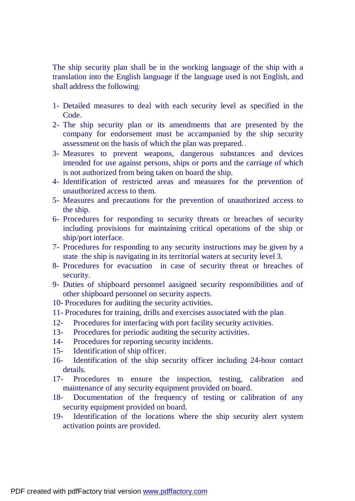The ship security plan shall be in the working language of the ship with a translation into the English language if the language used is not English, and shall address the following:

- 1- Detailed measures to deal with each security level as specified in the Code.
- 2- The ship security plan or its amendments that are presented by the company for endorsement must be accampanied by the ship security assessment on the basis of which the plan was prepared. .
- 3- Measures to prevent weapons, dangerous substances and devices intended for use against persons, ships or ports and the carriage of which is not authorized from being taken on board the ship.
- 4- Identification of restricted areas and measures for the prevention of unauthorized access to them.
- 5- Measures and precautions for the prevention of unauthorized access to the ship.
- 6- Procedures for responding to security threats or breaches of security including provisions for maintaining critical operations of the ship or ship/port interface.
- 7- Procedures for responding to any security instructions may be given by a state the ship is navigating in its territorial waters at security level 3.
- 8- Procedures for evacuation in case of security threat or breaches of security.
- 9- Duties of shipboard personnel aasigned security responsibilities and of other shipboard personnel on security aspects.
- 10- Procedures for auditing the security activities.
- 11- Procedures for training, drills and exercises associated with the plan .
- 12- Procedures for interfacing with port facility security activities.
- 13- Procedures for periodic auditing the security activities.
- 14- Procedures for reporting security incidents.
- 15- Identification of ship officer.
- 16- Identification of the ship security officer including 24-hour contact details.
- 17- Procedures to ensure the inspection, testing, calibration and maintenance of any security equipment provided on board.
- 18- Documentation of the frequency of testing or calibration of any security equipment provided on board.
- 19- Identification of the locations where the ship security alert system activation points are provided.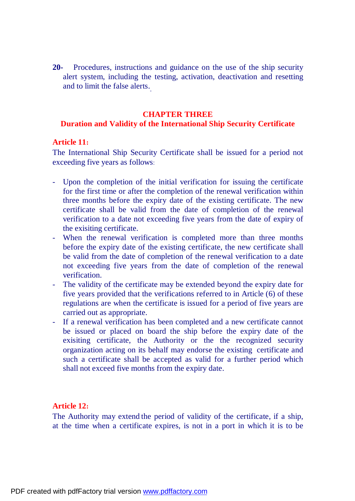**20-** Procedures, instructions and guidance on the use of the ship security alert system, including the testing, activation, deactivation and resetting and to limit the false alerts.

#### **CHAPTER THREE**

#### **Duration and Validity of the International Ship Security Certificate**

#### **Article 11:**

The International Ship Security Certificate shall be issued for a period not exceeding five years as follows:

- Upon the completion of the initial verification for issuing the certificate for the first time or after the completion of the renewal verification within three months before the expiry date of the existing certificate. The new certificate shall be valid from the date of completion of the renewal verification to a date not exceeding five years from the date of expiry of the exisiting certificate.
- When the renewal verification is completed more than three months before the expiry date of the existing certificate, the new certificate shall be valid from the date of completion of the renewal verification to a date not exceeding five years from the date of completion of the renewal verification.
- The validity of the certificate may be extended beyond the expiry date for five years provided that the verifications referred to in Article (6) of these regulations are when the certificate is issued for a period of five years are carried out as appropriate.
- If a renewal verification has been completed and a new certificate cannot be issued or placed on board the ship before the expiry date of the exisiting certificate, the Authority or the the recognized security organization acting on its behalf may endorse the existing certificate and such a certificate shall be accepted as valid for a further period which shall not exceed five months from the expiry date.

## **Article 12:**

The Authority may extend the period of validity of the certificate, if a ship, at the time when a certificate expires, is not in a port in which it is to be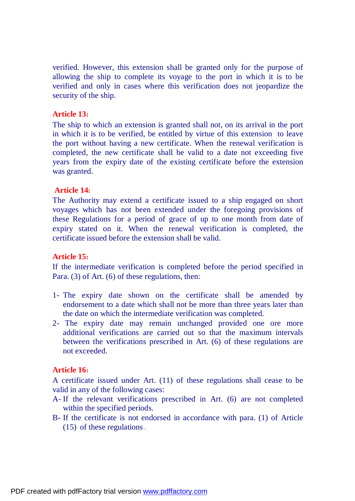verified. However, this extension shall be granted only for the purpose of allowing the ship to complete its voyage to the port in which it is to be verified and only in cases where this verification does not jeopardize the security of the ship.

## **Article 13:**

The ship to which an extension is granted shall not, on its arrival in the port in which it is to be verified, be entitled by virtue of this extension to leave the port without having a new certificate. When the renewal verification is completed, the new certificate shall be valid to a date not exceeding five years from the expiry date of the existing certificate before the extension was granted.

#### **Article 14:**

The Authority may extend a certificate issued to a ship engaged on short voyages which has not been extended under the foregoing provisions of these Regulations for a period of grace of up to one month from date of expiry stated on it. When the renewal verification is completed, the certificate issued before the extension shall be valid.

#### **Article 15:**

If the intermediate verification is completed before the period specified in Para. (3) of Art. (6) of these regulations, then:

- 1- The expiry date shown on the certificate shall be amended by endorsement to a date which shall not be more than three years later than the date on which the intermediate verification was completed.
- 2- The expiry date may remain unchanged provided one ore more additional verifications are carried out so that the maximum intervals between the verifications prescribed in Art. (6) of these regulations are not exceeded.

#### **Article 16:**

A certificate issued under Art. (11) of these regulations shall cease to be valid in any of the following cases:

- A- If the relevant verifications prescribed in Art. (6) are not completed within the specified periods.
- B- If the certificate is not endorsed in accordance with para. (1) of Article (15) of these regulations .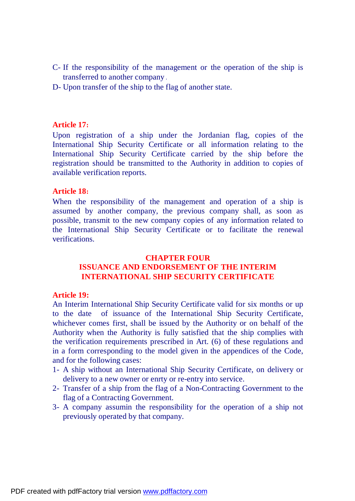- C- If the responsibility of the management or the operation of the ship is transferred to another company .
- D- Upon transfer of the ship to the flag of another state.

#### **Article 17:**

Upon registration of a ship under the Jordanian flag, copies of the International Ship Security Certificate or all information relating to the International Ship Security Certificate carried by the ship before the registration should be transmitted to the Authority in addition to copies of available verification reports.

#### **Article 18:**

When the responsibility of the management and operation of a ship is assumed by another company, the previous company shall, as soon as possible, transmit to the new company copies of any information related to the International Ship Security Certificate or to facilitate the renewal verifications.

## **CHAPTER FOUR ISSUANCE AND ENDORSEMENT OF THE INTERIM INTERNATIONAL SHIP SECURITY CERTIFICATE**

## **Article 19:**

An Interim International Ship Security Certificate valid for six months or up to the date of issuance of the International Ship Security Certificate, whichever comes first, shall be issued by the Authority or on behalf of the Authority when the Authority is fully satisfied that the ship complies with the verification requirements prescribed in Art. (6) of these regulations and in a form corresponding to the model given in the appendices of the Code, and for the following cases:

- 1- A ship without an International Ship Security Certificate, on delivery or delivery to a new owner or enrty or re-entry into service.
- 2- Transfer of a ship from the flag of a Non-Contracting Government to the flag of a Contracting Government.
- 3- A company assumin the responsibility for the operation of a ship not previously operated by that company.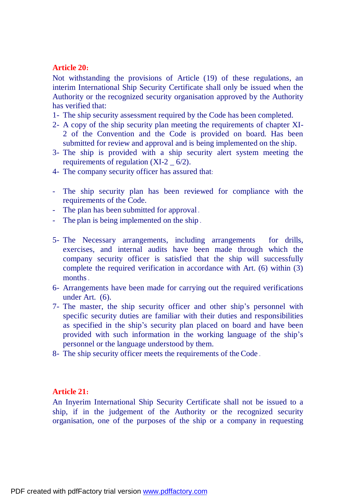## **Article 20:**

Not withstanding the provisions of Article (19) of these regulations, an interim International Ship Security Certificate shall only be issued when the Authority or the recognized security organisation approved by the Authority has verified that:

- 1- The ship security assessment required by the Code has been completed.
- 2- A copy of the ship security plan meeting the requirements of chapter XI-2 of the Convention and the Code is provided on board. Has been submitted for review and approval and is being implemented on the ship.
- 3- The ship is provided with a ship security alert system meeting the requirements of regulation  $(XI-2_6/2)$ .
- 4- The company security officer has assured that:
- The ship security plan has been reviewed for compliance with the requirements of the Code.
- The plan has been submitted for approval
- The plan is being implemented on the ship
- 5- The Necessary arrangements, including arrangements for drills, exercises, and internal audits have been made through which the company security officer is satisfied that the ship will successfully complete the required verification in accordance with Art. (6) within (3) months .
- 6- Arrangements have been made for carrying out the required verifications under Art. (6).
- 7- The master, the ship security officer and other ship's personnel with specific security duties are familiar with their duties and responsibilities as specified in the ship's security plan placed on board and have been provided with such information in the working language of the ship's personnel or the language understood by them.
- 8- The ship security officer meets the requirements of the Code .

## **Article 21:**

An Inyerim International Ship Security Certificate shall not be issued to a ship, if in the judgement of the Authority or the recognized security organisation, one of the purposes of the ship or a company in requesting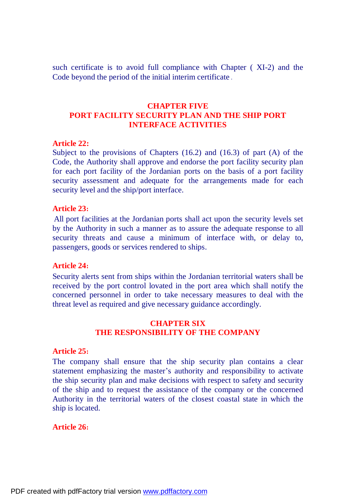such certificate is to avoid full compliance with Chapter ( XI-2) and the Code beyond the period of the initial interim certificate .

# **CHAPTER FIVE PORT FACILITY SECURITY PLAN AND THE SHIP PORT INTERFACE ACTIVITIES**

#### **Article 22:**

Subject to the provisions of Chapters  $(16.2)$  and  $(16.3)$  of part  $(A)$  of the Code, the Authority shall approve and endorse the port facility security plan for each port facility of the Jordanian ports on the basis of a port facility security assessment and adequate for the arrangements made for each security level and the ship/port interface.

#### **Article 23:**

All port facilities at the Jordanian ports shall act upon the security levels set by the Authority in such a manner as to assure the adequate response to all security threats and cause a minimum of interface with, or delay to, passengers, goods or services rendered to ships.

#### **Article 24:**

Security alerts sent from ships within the Jordanian territorial waters shall be received by the port control lovated in the port area which shall notify the concerned personnel in order to take necessary measures to deal with the threat level as required and give necessary guidance accordingly.

#### **CHAPTER SIX THE RESPONSIBILITY OF THE COMPANY**

#### **Article 25:**

The company shall ensure that the ship security plan contains a clear statement emphasizing the master's authority and responsibility to activate the ship security plan and make decisions with respect to safety and security of the ship and to request the assistance of the company or the concerned Authority in the territorial waters of the closest coastal state in which the ship is located.

#### **Article 26:**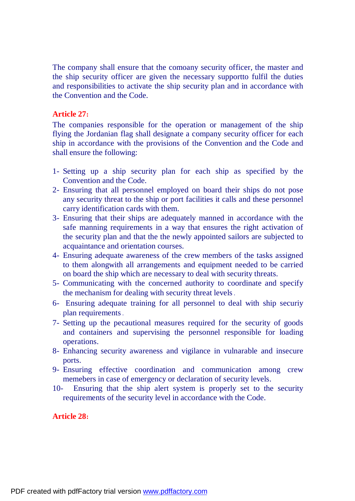The company shall ensure that the comoany security officer, the master and the ship security officer are given the necessary supportto fulfil the duties and responsibilities to activate the ship security plan and in accordance with the Convention and the Code.

#### **Article 27:**

The companies responsible for the operation or management of the ship flying the Jordanian flag shall designate a company security officer for each ship in accordance with the provisions of the Convention and the Code and shall ensure the following:

- 1- Setting up a ship security plan for each ship as specified by the Convention and the Code.
- 2- Ensuring that all personnel employed on board their ships do not pose any security threat to the ship or port facilities it calls and these personnel carry identification cards with them.
- 3- Ensuring that their ships are adequately manned in accordance with the safe manning requirements in a way that ensures the right activation of the security plan and that the the newly appointed sailors are subjected to acquaintance and orientation courses.
- 4- Ensuring adequate awareness of the crew members of the tasks assigned to them alongwith all arrangements and equipment needed to be carried on board the ship which are necessary to deal with security threats.
- 5- Communicating with the concerned authority to coordinate and specify the mechanism for dealing with security threat levels .
- 6- Ensuring adequate training for all personnel to deal with ship securiy plan requirements .
- 7- Setting up the pecautional measures required for the security of goods and containers and supervising the personnel responsible for loading operations.
- 8- Enhancing security awareness and vigilance in vulnarable and insecure ports.
- 9- Ensuring effective coordination and communication among crew memebers in case of emergency or declaration of security levels.
- 10- Ensuring that the ship alert system is properly set to the security requirements of the security level in accordance with the Code.

## **Article 28:**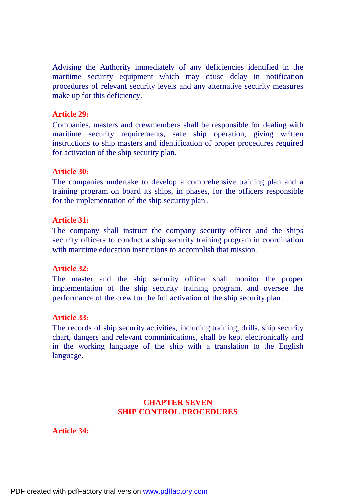Advising the Authority immediately of any deficiencies identified in the maritime security equipment which may cause delay in notification procedures of relevant security levels and any alternative security measures make up for this deficiency.

## **Article 29:**

Companies, masters and crewmembers shall be responsible for dealing with maritime security requirements, safe ship operation, giving written instructions to ship masters and identification of proper procedures required for activation of the ship security plan.

## **Article 30:**

The companies undertake to develop a comprehensive training plan and a training program on board its ships, in phases, for the officers responsible for the implementation of the ship security plan .

## **Article 31:**

The company shall instruct the company security officer and the ships security officers to conduct a ship security training program in coordination with maritime education institutions to accomplish that mission.

## **Article 32:**

The master and the ship security officer shall monitor the proper implementation of the ship security training program, and oversee the performance of the crew for the full activation of the ship security plan .

## **Article 33:**

The records of ship security activities, including training, drills, ship security chart, dangers and relevant comminications, shall be kept electronically and in the working language of the ship with a translation to the English language.

# **CHAPTER SEVEN SHIP CONTROL PROCEDURES**

# **Article 34:**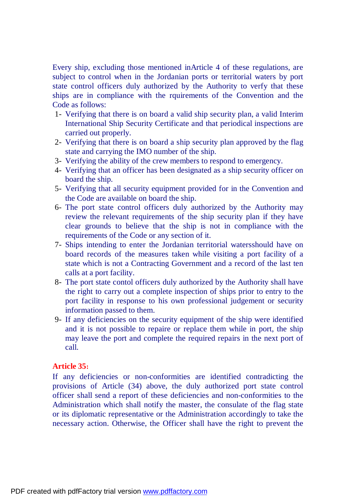Every ship, excluding those mentioned inArticle 4 of these regulations, are subject to control when in the Jordanian ports or territorial waters by port state control officers duly authorized by the Authority to verfy that these ships are in compliance with the rquirements of the Convention and the Code as follows:

- 1- Verifying that there is on board a valid ship security plan, a valid Interim International Ship Security Certificate and that periodical inspections are carried out properly.
- 2- Verifying that there is on board a ship security plan approved by the flag state and carrying the IMO number of the ship.
- 3- Verifying the ability of the crew members to respond to emergency.
- 4- Verifying that an officer has been designated as a ship security officer on board the ship.
- 5- Verifying that all security equipment provided for in the Convention and the Code are available on board the ship.
- 6- The port state control officers duly authorized by the Authority may review the relevant requirements of the ship security plan if they have clear grounds to believe that the ship is not in compliance with the requirements of the Code or any section of it.
- 7- Ships intending to enter the Jordanian territorial watersshould have on board records of the measures taken while visiting a port facility of a state which is not a Contracting Government and a record of the last ten calls at a port facility.
- 8- The port state contol officers duly authorized by the Authority shall have the right to carry out a complete inspection of ships prior to entry to the port facility in response to his own professional judgement or security information passed to them.
- 9- If any deficiencies on the security equipment of the ship were identified and it is not possible to repaire or replace them while in port, the ship may leave the port and complete the required repairs in the next port of call.

# **Article 35:**

If any deficiencies or non-conformities are identified contradicting the provisions of Article (34) above, the duly authorized port state control officer shall send a report of these deficiencies and non-conformities to the Administration which shall notify the master, the consulate of the flag state or its diplomatic representative or the Administration accordingly to take the necessary action. Otherwise, the Officer shall have the right to prevent the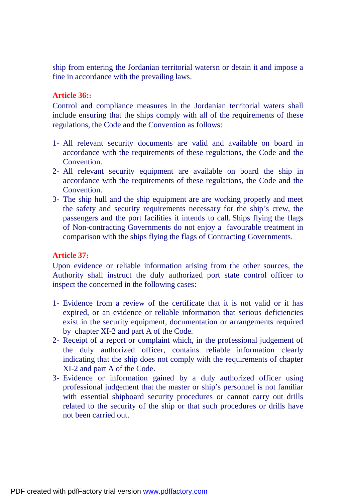ship from entering the Jordanian territorial watersn or detain it and impose a fine in accordance with the prevailing laws.

# **Article 36::**

Control and compliance measures in the Jordanian territorial waters shall include ensuring that the ships comply with all of the requirements of these regulations, the Code and the Convention as follows:

- 1- All relevant security documents are valid and available on board in accordance with the requirements of these regulations, the Code and the Convention.
- 2- All relevant security equipment are available on board the ship in accordance with the requirements of these regulations, the Code and the Convention.
- 3- The ship hull and the ship equipment are are working properly and meet the safety and security requirements necessary for the ship's crew, the passengers and the port facilities it intends to call. Ships flying the flags of Non-contracting Governments do not enjoy a favourable treatment in comparison with the ships flying the flags of Contracting Governments.

# **Article 37:**

Upon evidence or reliable information arising from the other sources, the Authority shall instruct the duly authorized port state control officer to inspect the concerned in the following cases:

- 1- Evidence from a review of the certificate that it is not valid or it has expired, or an evidence or reliable information that serious deficiencies exist in the security equipment, documentation or arrangements required by chapter XI-2 and part A of the Code.
- 2- Receipt of a report or complaint which, in the professional judgement of the duly authorized officer, contains reliable information clearly indicating that the ship does not comply with the requirements of chapter XI-2 and part A of the Code.
- 3- Evidence or information gained by a duly authorized officer using professional judgement that the master or ship's personnel is not familiar with essential shipboard security procedures or cannot carry out drills related to the security of the ship or that such procedures or drills have not been carried out.